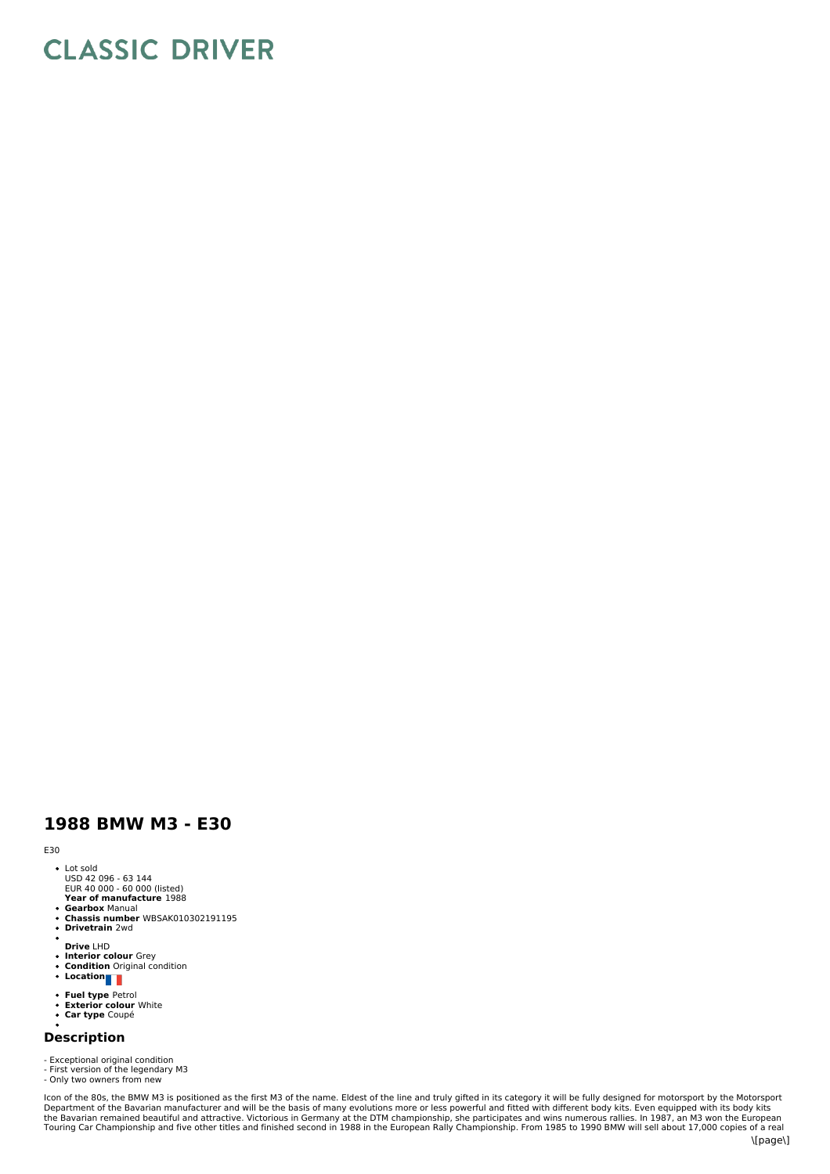# **CLASSIC DRIVER**

## **1988 BMW M3 - E30**

### E30

- Lot sold USD 42 096 63 144
- **Year of manufacture** 1988 EUR 40 000 60 000 (listed)
- 
- **Gearbox** Manual **Chassis number** WBSAK010302191195 **Drivetrain** 2wd
- ×
- **Drive** LHD
- **Interior colour** Grey **Condition** Original condition
- **Location**
- 
- **Fuel type** Petrol **Exterior colour** White
- **Car type** Coupé

# **Description**

- Exceptional original condition - First version of the legendary M3

- Only two owners from new

Icon of the 80s, the BMW M3 is positioned as the first M3 of the name. Eldest of the line and truly gifted in its category it will be fully designed for motorsport by the Motorsport<br>Department of the Bavarian manufacturer \[page\]